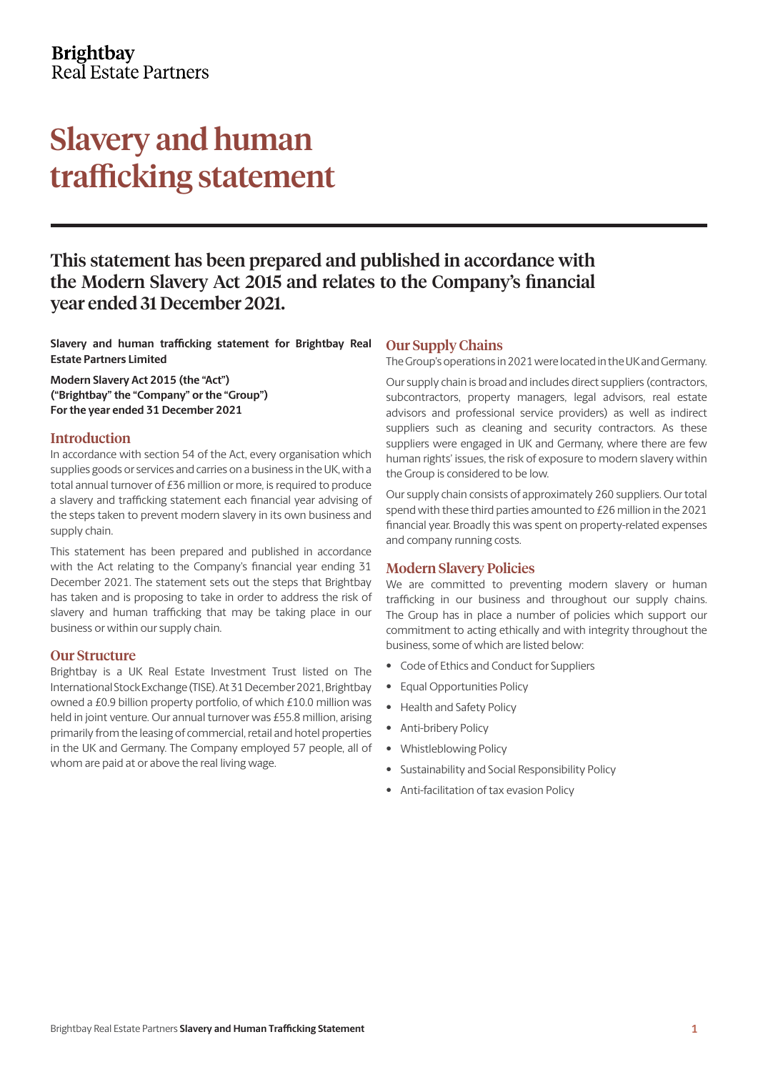### **Brightbay** Real Estate Partners

## Slavery and human trafficking statement

## This statement has been prepared and published in accordance with the Modern Slavery Act 2015 and relates to the Company's financial year ended 31 December 2021.

**Slavery and human trafficking statement for Brightbay Real Estate Partners Limited**

**Modern Slavery Act 2015 (the "Act") ("Brightbay" the "Company" or the "Group") For the year ended 31 December 2021**

#### Introduction

In accordance with section 54 of the Act, every organisation which supplies goods or services and carries on a business in the UK, with a total annual turnover of £36 million or more, is required to produce a slavery and trafficking statement each financial year advising of the steps taken to prevent modern slavery in its own business and supply chain.

This statement has been prepared and published in accordance with the Act relating to the Company's financial year ending 31 December 2021. The statement sets out the steps that Brightbay has taken and is proposing to take in order to address the risk of slavery and human trafficking that may be taking place in our business or within our supply chain.

#### Our Structure

Brightbay is a UK Real Estate Investment Trust listed on The International Stock Exchange (TISE). At 31 December 2021, Brightbay owned a £0.9 billion property portfolio, of which £10.0 million was held in joint venture. Our annual turnover was £55.8 million, arising primarily from the leasing of commercial, retail and hotel properties in the UK and Germany. The Company employed 57 people, all of whom are paid at or above the real living wage.

#### Our Supply Chains

The Group's operations in 2021 were located in the UK and Germany.

Our supply chain is broad and includes direct suppliers (contractors, subcontractors, property managers, legal advisors, real estate advisors and professional service providers) as well as indirect suppliers such as cleaning and security contractors. As these suppliers were engaged in UK and Germany, where there are few human rights' issues, the risk of exposure to modern slavery within the Group is considered to be low.

Our supply chain consists of approximately 260 suppliers. Our total spend with these third parties amounted to £26 million in the 2021 financial year. Broadly this was spent on property-related expenses and company running costs.

#### Modern Slavery Policies

We are committed to preventing modern slavery or human trafficking in our business and throughout our supply chains. The Group has in place a number of policies which support our commitment to acting ethically and with integrity throughout the business, some of which are listed below:

- Code of Ethics and Conduct for Suppliers
- Equal Opportunities Policy
- Health and Safety Policy
- Anti-bribery Policy
- Whistleblowing Policy
- Sustainability and Social Responsibility Policy
- Anti-facilitation of tax evasion Policy